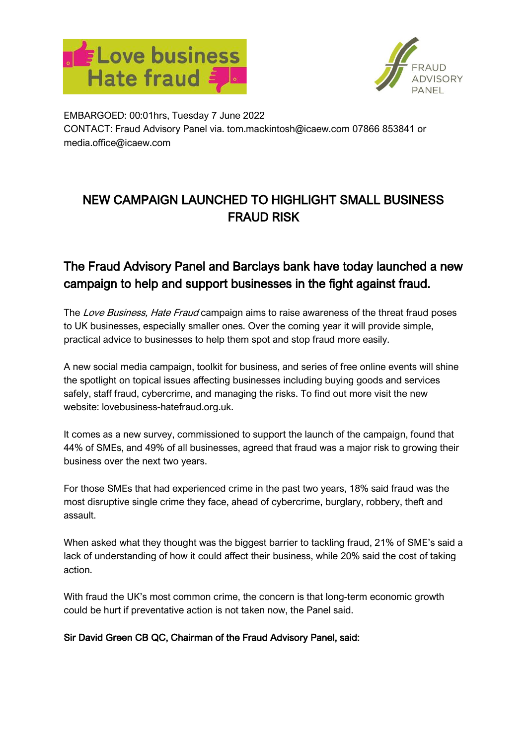



EMBARGOED: 00:01hrs, Tuesday 7 June 2022 CONTACT: Fraud Advisory Panel via. [tom.mackintosh@icaew.com](mailto:tom.mackintosh@icaew.com) 07866 853841 or media.office@icaew.com

# NEW CAMPAIGN LAUNCHED TO HIGHLIGHT SMALL BUSINESS FRAUD RISK

## The Fraud Advisory Panel and Barclays bank have today launched a new campaign to help and support businesses in the fight against fraud.

The Love Business, Hate Fraud campaign aims to raise awareness of the threat fraud poses to UK businesses, especially smaller ones. Over the coming year it will provide simple, practical advice to businesses to help them spot and stop fraud more easily.

A new social media campaign, toolkit for business, and series of free online events will shine the spotlight on topical issues affecting businesses including buying goods and services safely, staff fraud, cybercrime, and managing the risks. To find out more visit the new website: lovebusiness-hatefraud.org.uk.

It comes as a new survey, commissioned to support the launch of the campaign, found that 44% of SMEs, and 49% of all businesses, agreed that fraud was a major risk to growing their business over the next two years.

For those SMEs that had experienced crime in the past two years, 18% said fraud was the most disruptive single crime they face, ahead of cybercrime, burglary, robbery, theft and assault.

When asked what they thought was the biggest barrier to tackling fraud, 21% of SME's said a lack of understanding of how it could affect their business, while 20% said the cost of taking action.

With fraud the UK's most common crime, the concern is that long-term economic growth could be hurt if preventative action is not taken now, the Panel said.

### Sir David Green CB QC, Chairman of the Fraud Advisory Panel, said: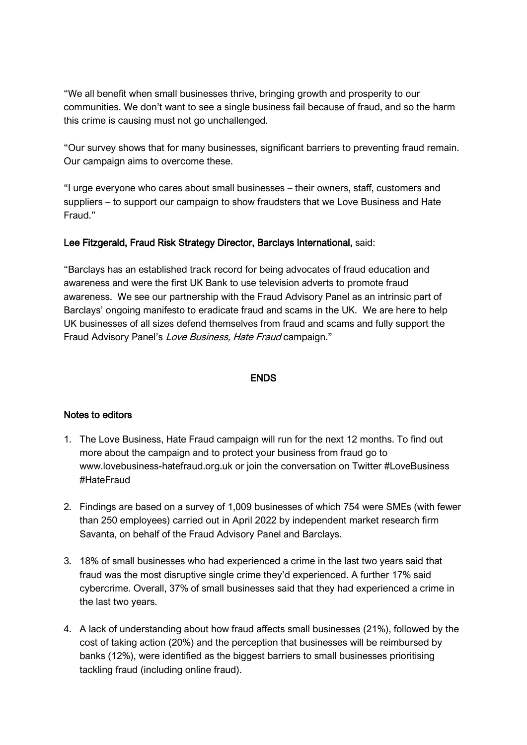"We all benefit when small businesses thrive, bringing growth and prosperity to our communities. We don't want to see a single business fail because of fraud, and so the harm this crime is causing must not go unchallenged.

"Our survey shows that for many businesses, significant barriers to preventing fraud remain. Our campaign aims to overcome these.

"I urge everyone who cares about small businesses – their owners, staff, customers and suppliers – to support our campaign to show fraudsters that we Love Business and Hate Fraud."

#### Lee Fitzgerald, Fraud Risk Strategy Director, Barclays International, said:

"Barclays has an established track record for being advocates of fraud education and awareness and were the first UK Bank to use television adverts to promote fraud awareness. We see our partnership with the Fraud Advisory Panel as an intrinsic part of Barclays' ongoing manifesto to eradicate fraud and scams in the UK. We are here to help UK businesses of all sizes defend themselves from fraud and scams and fully support the Fraud Advisory Panel's Love Business, Hate Fraud campaign."

#### ENDS

#### Notes to editors

- 1. The Love Business, Hate Fraud campaign will run for the next 12 months. To find out more about the campaign and to protect your business from fraud go to [www.lovebusiness-hatefraud.org.uk](http://www.lovebusiness-hatefraud.org.uk/) or join the conversation on Twitter #LoveBusiness #HateFraud
- 2. Findings are based on a survey of 1,009 businesses of which 754 were SMEs (with fewer than 250 employees) carried out in April 2022 by independent market research firm Savanta, on behalf of the Fraud Advisory Panel and Barclays.
- 3. 18% of small businesses who had experienced a crime in the last two years said that fraud was the most disruptive single crime they'd experienced. A further 17% said cybercrime. Overall, 37% of small businesses said that they had experienced a crime in the last two years.
- 4. A lack of understanding about how fraud affects small businesses (21%), followed by the cost of taking action (20%) and the perception that businesses will be reimbursed by banks (12%), were identified as the biggest barriers to small businesses prioritising tackling fraud (including online fraud).